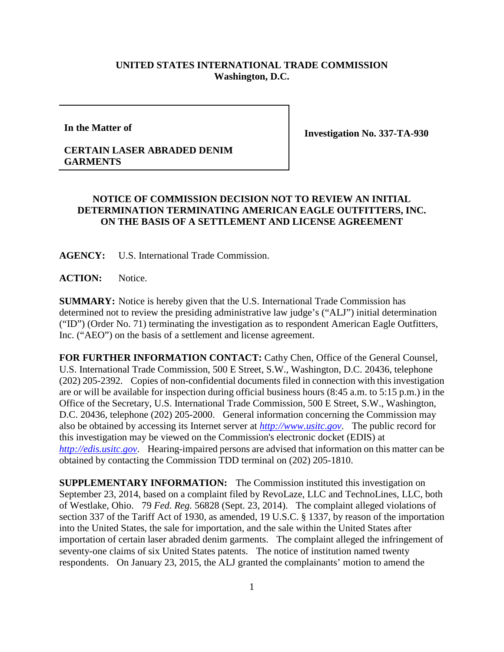## **UNITED STATES INTERNATIONAL TRADE COMMISSION Washington, D.C.**

**In the Matter of**

**Investigation No. 337-TA-930**

## **CERTAIN LASER ABRADED DENIM GARMENTS**

## **NOTICE OF COMMISSION DECISION NOT TO REVIEW AN INITIAL DETERMINATION TERMINATING AMERICAN EAGLE OUTFITTERS, INC. ON THE BASIS OF A SETTLEMENT AND LICENSE AGREEMENT**

**AGENCY:** U.S. International Trade Commission.

**ACTION:** Notice.

**SUMMARY:** Notice is hereby given that the U.S. International Trade Commission has determined not to review the presiding administrative law judge's ("ALJ") initial determination ("ID") (Order No. 71) terminating the investigation as to respondent American Eagle Outfitters, Inc. ("AEO") on the basis of a settlement and license agreement.

FOR FURTHER INFORMATION CONTACT: Cathy Chen, Office of the General Counsel, U.S. International Trade Commission, 500 E Street, S.W., Washington, D.C. 20436, telephone (202) 205-2392. Copies of non-confidential documents filed in connection with this investigation are or will be available for inspection during official business hours (8:45 a.m. to 5:15 p.m.) in the Office of the Secretary, U.S. International Trade Commission, 500 E Street, S.W., Washington, D.C. 20436, telephone (202) 205-2000. General information concerning the Commission may also be obtained by accessing its Internet server at *[http://www.usitc.gov](http://www.usitc.gov/)*. The public record for this investigation may be viewed on the Commission's electronic docket (EDIS) at *[http://edis.usitc.gov](http://edis.usitc.gov/)*. Hearing-impaired persons are advised that information on this matter can be obtained by contacting the Commission TDD terminal on (202) 205-1810.

**SUPPLEMENTARY INFORMATION:** The Commission instituted this investigation on September 23, 2014, based on a complaint filed by RevoLaze, LLC and TechnoLines, LLC, both of Westlake, Ohio. 79 *Fed. Reg.* 56828 (Sept. 23, 2014). The complaint alleged violations of section 337 of the Tariff Act of 1930, as amended, 19 U.S.C. § 1337, by reason of the importation into the United States, the sale for importation, and the sale within the United States after importation of certain laser abraded denim garments. The complaint alleged the infringement of seventy-one claims of six United States patents. The notice of institution named twenty respondents. On January 23, 2015, the ALJ granted the complainants' motion to amend the